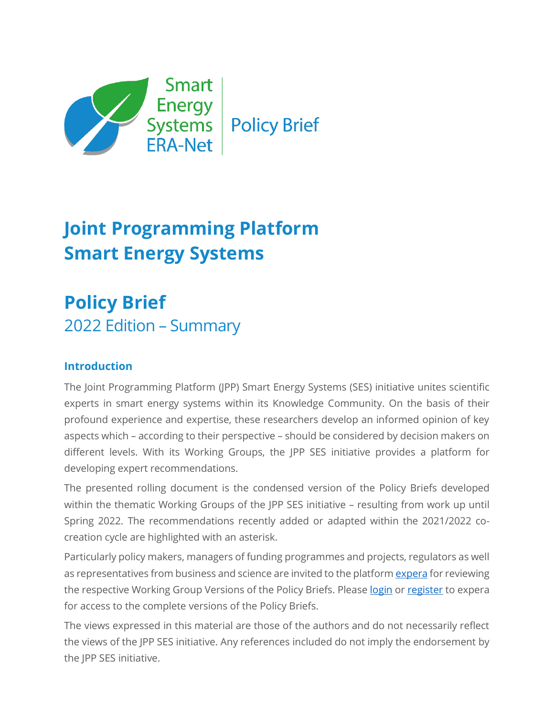

# **Joint Programming Platform Smart Energy Systems**

# **Policy Brief** 2022 Edition – Summary

## **Introduction**

The Joint Programming Platform (JPP) Smart Energy Systems (SES) initiative unites scientific experts in smart energy systems within its Knowledge Community. On the basis of their profound experience and expertise, these researchers develop an informed opinion of key aspects which – according to their perspective – should be considered by decision makers on different levels. With its Working Groups, the JPP SES initiative provides a platform for developing expert recommendations.

The presented rolling document is the condensed version of the Policy Briefs developed within the thematic Working Groups of the JPP SES initiative – resulting from work up until Spring 2022. The recommendations recently added or adapted within the 2021/2022 cocreation cycle are highlighted with an asterisk.

Particularly policy makers, managers of funding programmes and projects, regulators as well as representatives from business and science are invited to the platfor[m expera](https://expera.smartgridsplus.eu/Navigable%20Site%20Pages/Spotlights.aspx) for reviewing the respective Working Group Versions of the Policy Briefs. Please [login](http://expera.smartgridsplus.eu/ExpertRegistration/Expert.aspx) or [register](http://expera.smartgridsplus.eu/ExpertRegistration/Expert.aspx) to expera for access to the complete versions of the Policy Briefs.

The views expressed in this material are those of the authors and do not necessarily reflect the views of the JPP SES initiative. Any references included do not imply the endorsement by the JPP SES initiative.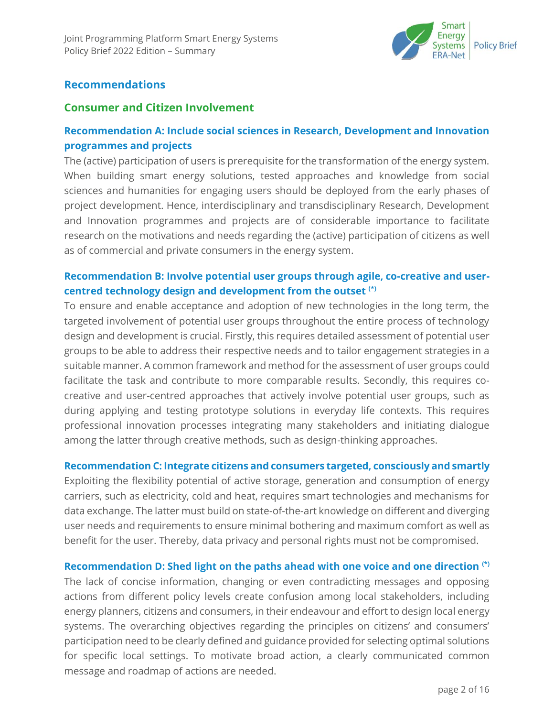

### **Recommendations**

#### **Consumer and Citizen Involvement**

## **Recommendation A: Include social sciences in Research, Development and Innovation programmes and projects**

The (active) participation of users is prerequisite for the transformation of the energy system. When building smart energy solutions, tested approaches and knowledge from social sciences and humanities for engaging users should be deployed from the early phases of project development. Hence, interdisciplinary and transdisciplinary Research, Development and Innovation programmes and projects are of considerable importance to facilitate research on the motivations and needs regarding the (active) participation of citizens as well as of commercial and private consumers in the energy system.

## **Recommendation B: Involve potential user groups through agile, co-creative and usercentred technology design and development from the outset (\*)**

To ensure and enable acceptance and adoption of new technologies in the long term, the targeted involvement of potential user groups throughout the entire process of technology design and development is crucial. Firstly, this requires detailed assessment of potential user groups to be able to address their respective needs and to tailor engagement strategies in a suitable manner. A common framework and method for the assessment of user groups could facilitate the task and contribute to more comparable results. Secondly, this requires cocreative and user-centred approaches that actively involve potential user groups, such as during applying and testing prototype solutions in everyday life contexts. This requires professional innovation processes integrating many stakeholders and initiating dialogue among the latter through creative methods, such as design-thinking approaches.

#### **Recommendation C: Integrate citizens and consumers targeted, consciously and smartly**

Exploiting the flexibility potential of active storage, generation and consumption of energy carriers, such as electricity, cold and heat, requires smart technologies and mechanisms for data exchange. The latter must build on state-of-the-art knowledge on different and diverging user needs and requirements to ensure minimal bothering and maximum comfort as well as benefit for the user. Thereby, data privacy and personal rights must not be compromised.

#### **Recommendation D: Shed light on the paths ahead with one voice and one direction (\*)**

The lack of concise information, changing or even contradicting messages and opposing actions from different policy levels create confusion among local stakeholders, including energy planners, citizens and consumers, in their endeavour and effort to design local energy systems. The overarching objectives regarding the principles on citizens' and consumers' participation need to be clearly defined and guidance provided for selecting optimal solutions for specific local settings. To motivate broad action, a clearly communicated common message and roadmap of actions are needed.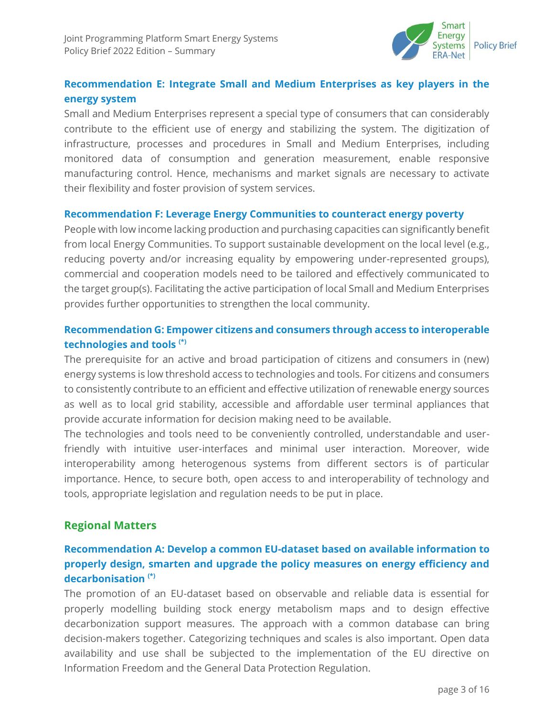

## **Recommendation E: Integrate Small and Medium Enterprises as key players in the energy system**

Small and Medium Enterprises represent a special type of consumers that can considerably contribute to the efficient use of energy and stabilizing the system. The digitization of infrastructure, processes and procedures in Small and Medium Enterprises, including monitored data of consumption and generation measurement, enable responsive manufacturing control. Hence, mechanisms and market signals are necessary to activate their flexibility and foster provision of system services.

#### **Recommendation F: Leverage Energy Communities to counteract energy poverty**

People with low income lacking production and purchasing capacities can significantly benefit from local Energy Communities. To support sustainable development on the local level (e.g., reducing poverty and/or increasing equality by empowering under-represented groups), commercial and cooperation models need to be tailored and effectively communicated to the target group(s). Facilitating the active participation of local Small and Medium Enterprises provides further opportunities to strengthen the local community.

## **Recommendation G: Empower citizens and consumers through access to interoperable technologies and tools (\*)**

The prerequisite for an active and broad participation of citizens and consumers in (new) energy systems is low threshold access to technologies and tools. For citizens and consumers to consistently contribute to an efficient and effective utilization of renewable energy sources as well as to local grid stability, accessible and affordable user terminal appliances that provide accurate information for decision making need to be available.

The technologies and tools need to be conveniently controlled, understandable and userfriendly with intuitive user-interfaces and minimal user interaction. Moreover, wide interoperability among heterogenous systems from different sectors is of particular importance. Hence, to secure both, open access to and interoperability of technology and tools, appropriate legislation and regulation needs to be put in place.

#### **Regional Matters**

## **Recommendation A: Develop a common EU-dataset based on available information to properly design, smarten and upgrade the policy measures on energy efficiency and decarbonisation (\*)**

The promotion of an EU-dataset based on observable and reliable data is essential for properly modelling building stock energy metabolism maps and to design effective decarbonization support measures. The approach with a common database can bring decision-makers together. Categorizing techniques and scales is also important. Open data availability and use shall be subjected to the implementation of the EU directive on Information Freedom and the General Data Protection Regulation.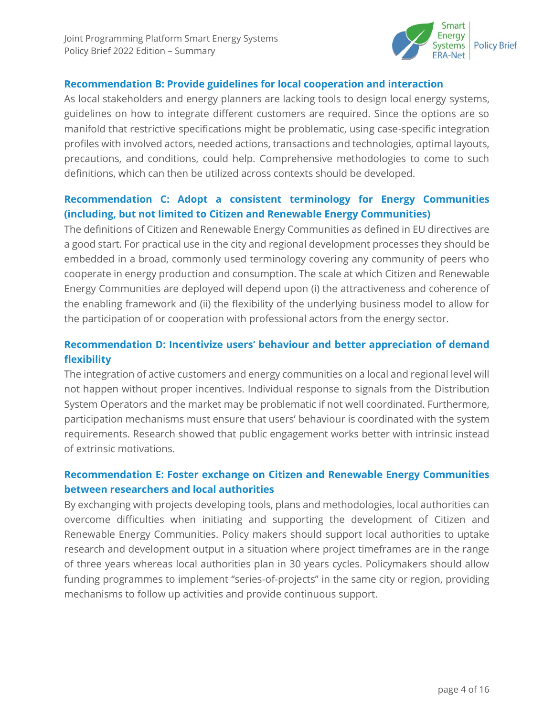

#### **Recommendation B: Provide guidelines for local cooperation and interaction**

As local stakeholders and energy planners are lacking tools to design local energy systems, guidelines on how to integrate different customers are required. Since the options are so manifold that restrictive specifications might be problematic, using case-specific integration profiles with involved actors, needed actions, transactions and technologies, optimal layouts, precautions, and conditions, could help. Comprehensive methodologies to come to such definitions, which can then be utilized across contexts should be developed.

## **Recommendation C: Adopt a consistent terminology for Energy Communities (including, but not limited to Citizen and Renewable Energy Communities)**

The definitions of Citizen and Renewable Energy Communities as defined in EU directives are a good start. For practical use in the city and regional development processes they should be embedded in a broad, commonly used terminology covering any community of peers who cooperate in energy production and consumption. The scale at which Citizen and Renewable Energy Communities are deployed will depend upon (i) the attractiveness and coherence of the enabling framework and (ii) the flexibility of the underlying business model to allow for the participation of or cooperation with professional actors from the energy sector.

## **Recommendation D: Incentivize users' behaviour and better appreciation of demand flexibility**

The integration of active customers and energy communities on a local and regional level will not happen without proper incentives. Individual response to signals from the Distribution System Operators and the market may be problematic if not well coordinated. Furthermore, participation mechanisms must ensure that users' behaviour is coordinated with the system requirements. Research showed that public engagement works better with intrinsic instead of extrinsic motivations.

## **Recommendation E: Foster exchange on Citizen and Renewable Energy Communities between researchers and local authorities**

By exchanging with projects developing tools, plans and methodologies, local authorities can overcome difficulties when initiating and supporting the development of Citizen and Renewable Energy Communities. Policy makers should support local authorities to uptake research and development output in a situation where project timeframes are in the range of three years whereas local authorities plan in 30 years cycles. Policymakers should allow funding programmes to implement "series-of-projects" in the same city or region, providing mechanisms to follow up activities and provide continuous support.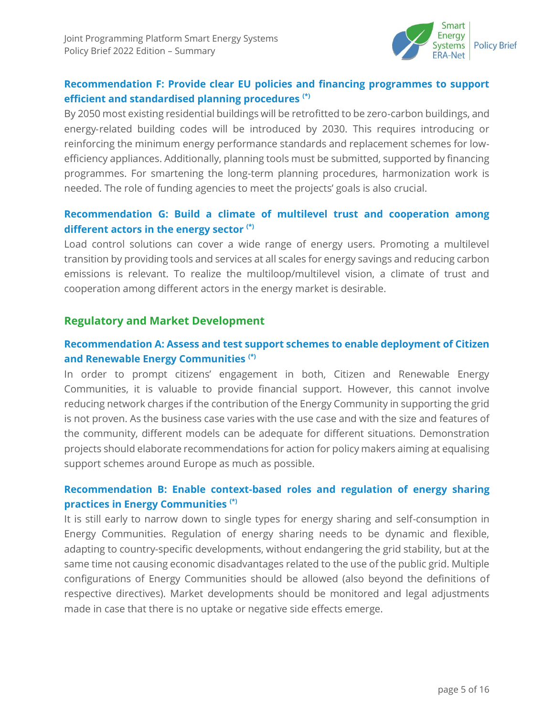

## **Recommendation F: Provide clear EU policies and financing programmes to support efficient and standardised planning procedures (\*)**

By 2050 most existing residential buildings will be retrofitted to be zero-carbon buildings, and energy‐related building codes will be introduced by 2030. This requires introducing or reinforcing the minimum energy performance standards and replacement schemes for low‐ efficiency appliances. Additionally, planning tools must be submitted, supported by financing programmes. For smartening the long-term planning procedures, harmonization work is needed. The role of funding agencies to meet the projects' goals is also crucial.

## **Recommendation G: Build a climate of multilevel trust and cooperation among different actors in the energy sector (\*)**

Load control solutions can cover a wide range of energy users. Promoting a multilevel transition by providing tools and services at all scales for energy savings and reducing carbon emissions is relevant. To realize the multiloop/multilevel vision, a climate of trust and cooperation among different actors in the energy market is desirable.

#### **Regulatory and Market Development**

#### **Recommendation A: Assess and test support schemes to enable deployment of Citizen and Renewable Energy Communities (\*)**

In order to prompt citizens' engagement in both, Citizen and Renewable Energy Communities, it is valuable to provide financial support. However, this cannot involve reducing network charges if the contribution of the Energy Community in supporting the grid is not proven. As the business case varies with the use case and with the size and features of the community, different models can be adequate for different situations. Demonstration projects should elaborate recommendations for action for policy makers aiming at equalising support schemes around Europe as much as possible.

#### **Recommendation B: Enable context-based roles and regulation of energy sharing practices in Energy Communities (\*)**

It is still early to narrow down to single types for energy sharing and self-consumption in Energy Communities. Regulation of energy sharing needs to be dynamic and flexible, adapting to country-specific developments, without endangering the grid stability, but at the same time not causing economic disadvantages related to the use of the public grid. Multiple configurations of Energy Communities should be allowed (also beyond the definitions of respective directives). Market developments should be monitored and legal adjustments made in case that there is no uptake or negative side effects emerge.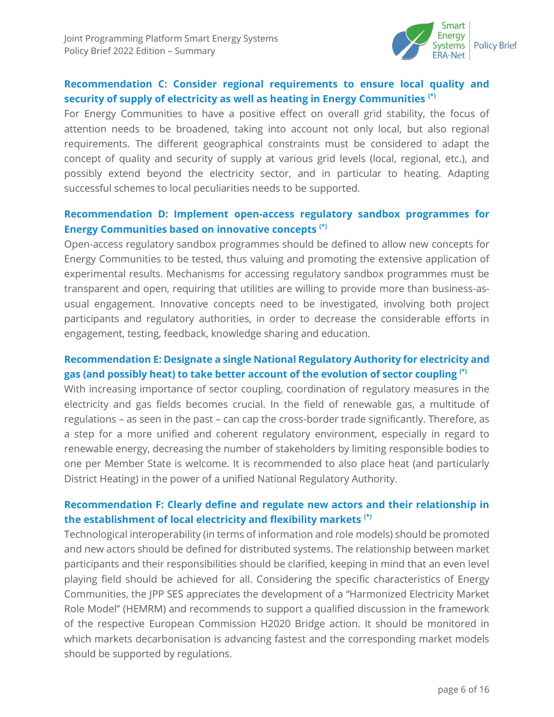

## **Recommendation C: Consider regional requirements to ensure local quality and security of supply of electricity as well as heating in Energy Communities (\*)**

For Energy Communities to have a positive effect on overall grid stability, the focus of attention needs to be broadened, taking into account not only local, but also regional requirements. The different geographical constraints must be considered to adapt the concept of quality and security of supply at various grid levels (local, regional, etc.), and possibly extend beyond the electricity sector, and in particular to heating. Adapting successful schemes to local peculiarities needs to be supported.

#### **Recommendation D: Implement open-access regulatory sandbox programmes for Energy Communities based on innovative concepts (\*)**

Open-access regulatory sandbox programmes should be defined to allow new concepts for Energy Communities to be tested, thus valuing and promoting the extensive application of experimental results. Mechanisms for accessing regulatory sandbox programmes must be transparent and open, requiring that utilities are willing to provide more than business-asusual engagement. Innovative concepts need to be investigated, involving both project participants and regulatory authorities, in order to decrease the considerable efforts in engagement, testing, feedback, knowledge sharing and education.

### **Recommendation E: Designate a single National Regulatory Authority for electricity and gas (and possibly heat) to take better account of the evolution of sector coupling (\*)**

With increasing importance of sector coupling, coordination of regulatory measures in the electricity and gas fields becomes crucial. In the field of renewable gas, a multitude of regulations – as seen in the past – can cap the cross-border trade significantly. Therefore, as a step for a more unified and coherent regulatory environment, especially in regard to renewable energy, decreasing the number of stakeholders by limiting responsible bodies to one per Member State is welcome. It is recommended to also place heat (and particularly District Heating) in the power of a unified National Regulatory Authority.

## **Recommendation F: Clearly define and regulate new actors and their relationship in the establishment of local electricity and flexibility markets (\*)**

Technological interoperability (in terms of information and role models) should be promoted and new actors should be defined for distributed systems. The relationship between market participants and their responsibilities should be clarified, keeping in mind that an even level playing field should be achieved for all. Considering the specific characteristics of Energy Communities, the JPP SES appreciates the development of a "Harmonized Electricity Market Role Model" (HEMRM) and recommends to support a qualified discussion in the framework of the respective European Commission H2020 Bridge action. It should be monitored in which markets decarbonisation is advancing fastest and the corresponding market models should be supported by regulations.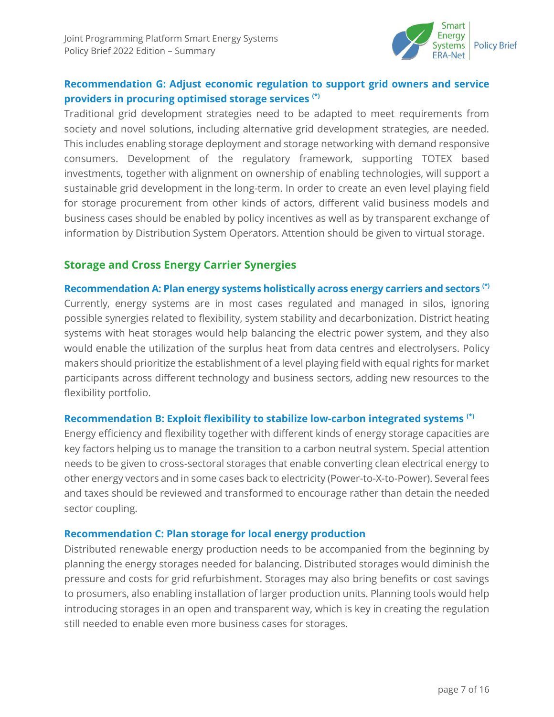

## **Recommendation G: Adjust economic regulation to support grid owners and service providers in procuring optimised storage services (\*)**

Traditional grid development strategies need to be adapted to meet requirements from society and novel solutions, including alternative grid development strategies, are needed. This includes enabling storage deployment and storage networking with demand responsive consumers. Development of the regulatory framework, supporting TOTEX based investments, together with alignment on ownership of enabling technologies, will support a sustainable grid development in the long-term. In order to create an even level playing field for storage procurement from other kinds of actors, different valid business models and business cases should be enabled by policy incentives as well as by transparent exchange of information by Distribution System Operators. Attention should be given to virtual storage.

## **Storage and Cross Energy Carrier Synergies**

**Recommendation A: Plan energy systems holistically across energy carriers and sectors (\*)** Currently, energy systems are in most cases regulated and managed in silos, ignoring possible synergies related to flexibility, system stability and decarbonization. District heating systems with heat storages would help balancing the electric power system, and they also would enable the utilization of the surplus heat from data centres and electrolysers. Policy makers should prioritize the establishment of a level playing field with equal rights for market participants across different technology and business sectors, adding new resources to the flexibility portfolio.

#### **Recommendation B: Exploit flexibility to stabilize low-carbon integrated systems (\*)**

Energy efficiency and flexibility together with different kinds of energy storage capacities are key factors helping us to manage the transition to a carbon neutral system. Special attention needs to be given to cross-sectoral storages that enable converting clean electrical energy to other energy vectors and in some cases back to electricity (Power-to-X-to-Power). Several fees and taxes should be reviewed and transformed to encourage rather than detain the needed sector coupling.

#### **Recommendation C: Plan storage for local energy production**

Distributed renewable energy production needs to be accompanied from the beginning by planning the energy storages needed for balancing. Distributed storages would diminish the pressure and costs for grid refurbishment. Storages may also bring benefits or cost savings to prosumers, also enabling installation of larger production units. Planning tools would help introducing storages in an open and transparent way, which is key in creating the regulation still needed to enable even more business cases for storages.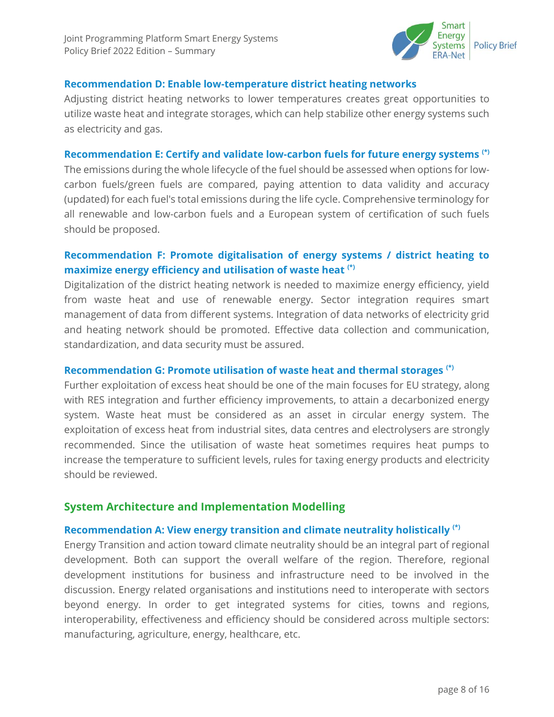

#### **Recommendation D: Enable low-temperature district heating networks**

Adjusting district heating networks to lower temperatures creates great opportunities to utilize waste heat and integrate storages, which can help stabilize other energy systems such as electricity and gas.

#### **Recommendation E: Certify and validate low-carbon fuels for future energy systems (\*)**

The emissions during the whole lifecycle of the fuel should be assessed when options for lowcarbon fuels/green fuels are compared, paying attention to data validity and accuracy (updated) for each fuel's total emissions during the life cycle. Comprehensive terminology for all renewable and low-carbon fuels and a European system of certification of such fuels should be proposed.

## **Recommendation F: Promote digitalisation of energy systems / district heating to maximize energy efficiency and utilisation of waste heat (\*)**

Digitalization of the district heating network is needed to maximize energy efficiency, yield from waste heat and use of renewable energy. Sector integration requires smart management of data from different systems. Integration of data networks of electricity grid and heating network should be promoted. Effective data collection and communication, standardization, and data security must be assured.

#### **Recommendation G: Promote utilisation of waste heat and thermal storages (\*)**

Further exploitation of excess heat should be one of the main focuses for EU strategy, along with RES integration and further efficiency improvements, to attain a decarbonized energy system. Waste heat must be considered as an asset in circular energy system. The exploitation of excess heat from industrial sites, data centres and electrolysers are strongly recommended. Since the utilisation of waste heat sometimes requires heat pumps to increase the temperature to sufficient levels, rules for taxing energy products and electricity should be reviewed.

#### **System Architecture and Implementation Modelling**

#### **Recommendation A: View energy transition and climate neutrality holistically (\*)**

Energy Transition and action toward climate neutrality should be an integral part of regional development. Both can support the overall welfare of the region. Therefore, regional development institutions for business and infrastructure need to be involved in the discussion. Energy related organisations and institutions need to interoperate with sectors beyond energy. In order to get integrated systems for cities, towns and regions, interoperability, effectiveness and efficiency should be considered across multiple sectors: manufacturing, agriculture, energy, healthcare, etc.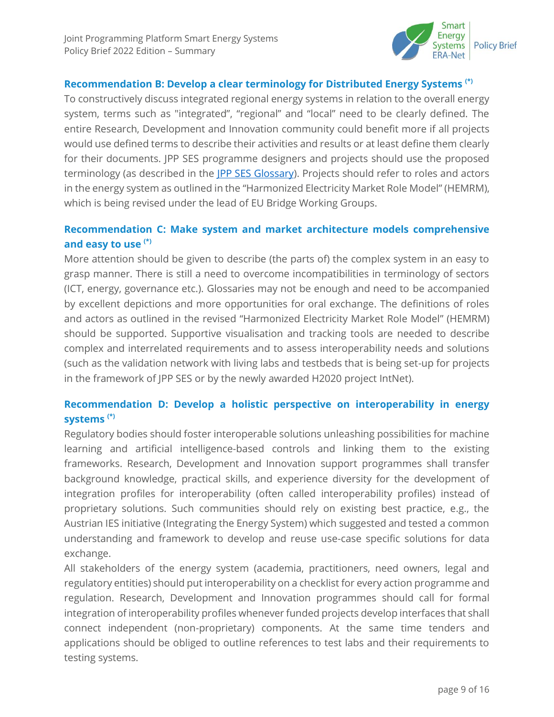

#### **Recommendation B: Develop a clear terminology for Distributed Energy Systems (\*)**

To constructively discuss integrated regional energy systems in relation to the overall energy system, terms such as "integrated", "regional" and "local" need to be clearly defined. The entire Research, Development and Innovation community could benefit more if all projects would use defined terms to describe their activities and results or at least define them clearly for their documents. JPP SES programme designers and projects should use the proposed terminology (as described in the [JPP SES Glossary\)](https://expera.smartgridsplus.eu/Navigable%20Site%20Pages/Glossary.aspx). Projects should refer to roles and actors in the energy system as outlined in the "Harmonized Electricity Market Role Model" (HEMRM), which is being revised under the lead of EU Bridge Working Groups.

#### **Recommendation C: Make system and market architecture models comprehensive and easy to use (\*)**

More attention should be given to describe (the parts of) the complex system in an easy to grasp manner. There is still a need to overcome incompatibilities in terminology of sectors (ICT, energy, governance etc.). Glossaries may not be enough and need to be accompanied by excellent depictions and more opportunities for oral exchange. The definitions of roles and actors as outlined in the revised "Harmonized Electricity Market Role Model" (HEMRM) should be supported. Supportive visualisation and tracking tools are needed to describe complex and interrelated requirements and to assess interoperability needs and solutions (such as the validation network with living labs and testbeds that is being set-up for projects in the framework of JPP SES or by the newly awarded H2020 project IntNet).

#### **Recommendation D: Develop a holistic perspective on interoperability in energy systems (\*)**

Regulatory bodies should foster interoperable solutions unleashing possibilities for machine learning and artificial intelligence-based controls and linking them to the existing frameworks. Research, Development and Innovation support programmes shall transfer background knowledge, practical skills, and experience diversity for the development of integration profiles for interoperability (often called interoperability profiles) instead of proprietary solutions. Such communities should rely on existing best practice, e.g., the Austrian IES initiative (Integrating the Energy System) which suggested and tested a common understanding and framework to develop and reuse use-case specific solutions for data exchange.

All stakeholders of the energy system (academia, practitioners, need owners, legal and regulatory entities) should put interoperability on a checklist for every action programme and regulation. Research, Development and Innovation programmes should call for formal integration of interoperability profiles whenever funded projects develop interfaces that shall connect independent (non-proprietary) components. At the same time tenders and applications should be obliged to outline references to test labs and their requirements to testing systems.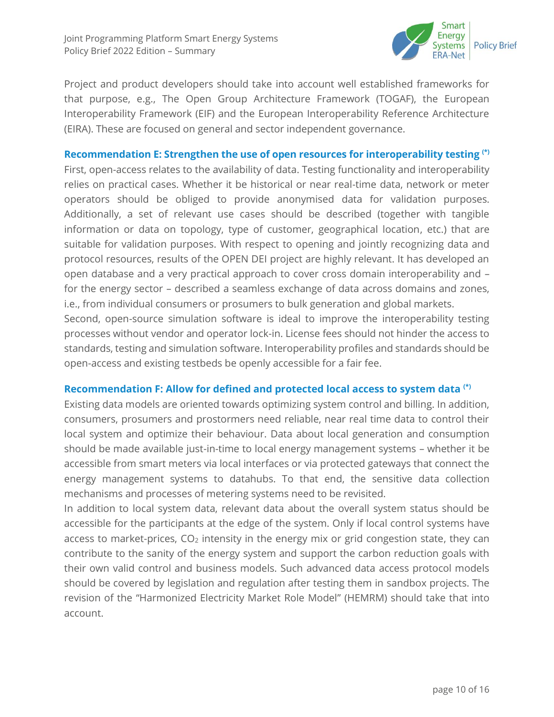

Project and product developers should take into account well established frameworks for that purpose, e.g., The Open Group Architecture Framework (TOGAF), the European Interoperability Framework (EIF) and the European Interoperability Reference Architecture (EIRA). These are focused on general and sector independent governance.

#### **Recommendation E: Strengthen the use of open resources for interoperability testing (\*)**

First, open-access relates to the availability of data. Testing functionality and interoperability relies on practical cases. Whether it be historical or near real-time data, network or meter operators should be obliged to provide anonymised data for validation purposes. Additionally, a set of relevant use cases should be described (together with tangible information or data on topology, type of customer, geographical location, etc.) that are suitable for validation purposes. With respect to opening and jointly recognizing data and protocol resources, results of the OPEN DEI project are highly relevant. It has developed an open database and a very practical approach to cover cross domain interoperability and – for the energy sector – described a seamless exchange of data across domains and zones, i.e., from individual consumers or prosumers to bulk generation and global markets.

Second, open-source simulation software is ideal to improve the interoperability testing processes without vendor and operator lock-in. License fees should not hinder the access to standards, testing and simulation software. Interoperability profiles and standards should be open-access and existing testbeds be openly accessible for a fair fee.

#### **Recommendation F: Allow for defined and protected local access to system data (\*)**

Existing data models are oriented towards optimizing system control and billing. In addition, consumers, prosumers and prostormers need reliable, near real time data to control their local system and optimize their behaviour. Data about local generation and consumption should be made available just-in-time to local energy management systems – whether it be accessible from smart meters via local interfaces or via protected gateways that connect the energy management systems to datahubs. To that end, the sensitive data collection mechanisms and processes of metering systems need to be revisited.

In addition to local system data, relevant data about the overall system status should be accessible for the participants at the edge of the system. Only if local control systems have access to market-prices,  $CO<sub>2</sub>$  intensity in the energy mix or grid congestion state, they can contribute to the sanity of the energy system and support the carbon reduction goals with their own valid control and business models. Such advanced data access protocol models should be covered by legislation and regulation after testing them in sandbox projects. The revision of the "Harmonized Electricity Market Role Model" (HEMRM) should take that into account.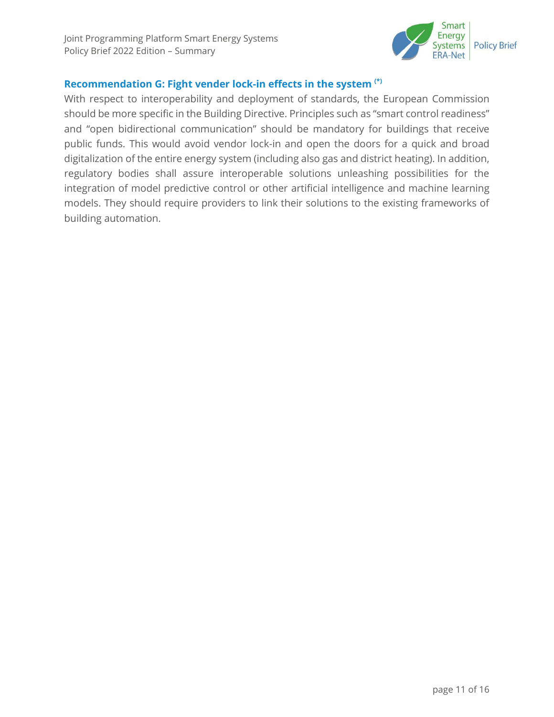

#### **Recommendation G: Fight vender lock-in effects in the system (\*)**

With respect to interoperability and deployment of standards, the European Commission should be more specific in the Building Directive. Principles such as "smart control readiness" and "open bidirectional communication" should be mandatory for buildings that receive public funds. This would avoid vendor lock-in and open the doors for a quick and broad digitalization of the entire energy system (including also gas and district heating). In addition, regulatory bodies shall assure interoperable solutions unleashing possibilities for the integration of model predictive control or other artificial intelligence and machine learning models. They should require providers to link their solutions to the existing frameworks of building automation.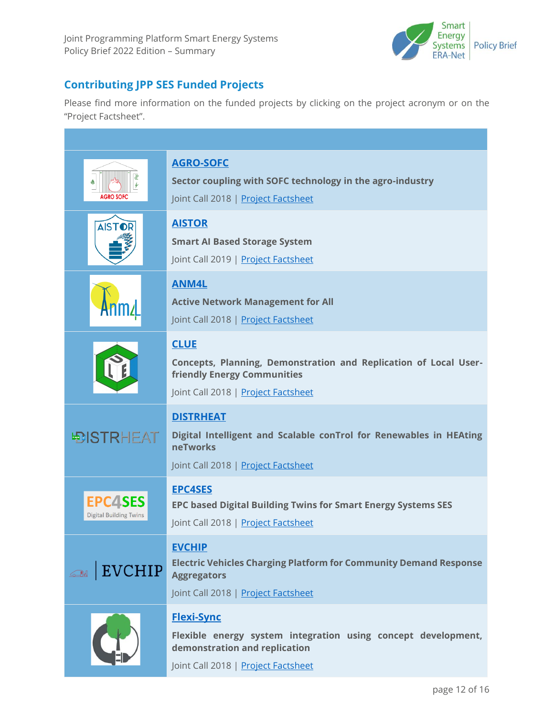

## **Contributing JPP SES Funded Projects**

Please find more information on the funded projects by clicking on the project acronym or on the "Project Factsheet".

| <b>AGRO SOFC</b>                                | <b>AGRO-SOFC</b><br>Sector coupling with SOFC technology in the agro-industry<br>Joint Call 2018   Project Factsheet                                              |
|-------------------------------------------------|-------------------------------------------------------------------------------------------------------------------------------------------------------------------|
| <b>AISTOR</b>                                   | <b>AISTOR</b><br><b>Smart AI Based Storage System</b><br>Joint Call 2019   Project Factsheet                                                                      |
|                                                 | <b>ANM4L</b><br><b>Active Network Management for All</b><br>Joint Call 2018   Project Factsheet                                                                   |
|                                                 | <b>CLUE</b><br>Concepts, Planning, Demonstration and Replication of Local User-<br><b>friendly Energy Communities</b><br>Joint Call 2018   Project Factsheet      |
| <b>DISTRHEAT</b>                                | <b>DISTRHEAT</b><br>Digital Intelligent and Scalable conTrol for Renewables in HEAting<br><b>neTworks</b><br>Joint Call 2018   Project Factsheet                  |
| <b>EPC4SES</b><br><b>Digital Building Twins</b> | <b>EPC4SES</b><br><b>EPC based Digital Building Twins for Smart Energy Systems SES</b><br>Joint Call 2018   Project Factsheet                                     |
| <b>EVCHIP</b>                                   | <b>EVCHIP</b><br><b>Electric Vehicles Charging Platform for Community Demand Response</b><br><b>Aggregators</b><br>Joint Call 2018   Project Factsheet            |
|                                                 | <b>Flexi-Sync</b><br>Flexible energy system integration using concept development,<br>demonstration and replication<br>Joint Call 2018   <u>Project Factsheet</u> |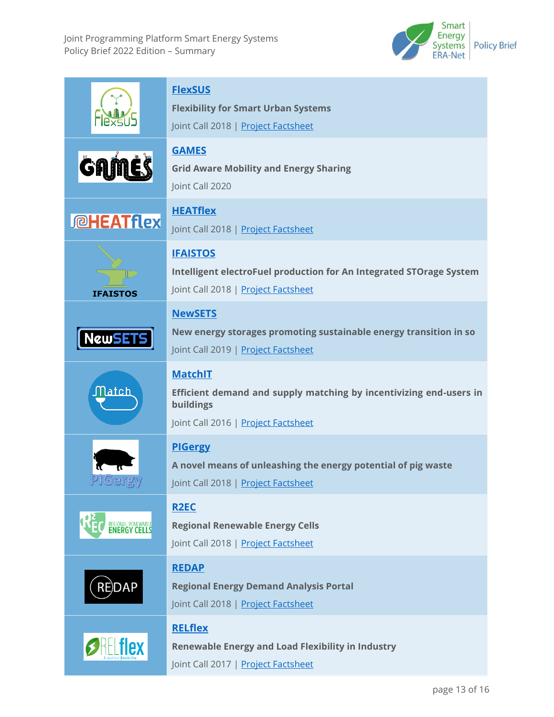Joint Programming Platform Smart Energy Systems Policy Brief 2022 Edition – Summary



|                    | <b>FlexSUS</b><br><b>Flexibility for Smart Urban Systems</b><br>Joint Call 2018   Project Factsheet                                      |
|--------------------|------------------------------------------------------------------------------------------------------------------------------------------|
| GAI                | <b>GAMES</b><br><b>Grid Aware Mobility and Energy Sharing</b><br>Joint Call 2020                                                         |
| <b>I @HEATflex</b> | <b>HEATflex</b><br>Joint Call 2018   Project Factsheet                                                                                   |
| <b>IFAISTOS</b>    | <b>IFAISTOS</b><br>Intelligent electroFuel production for An Integrated STOrage System<br>Joint Call 2018   Project Factsheet            |
| <b>NewSET</b>      | <b>NewSETS</b><br>New energy storages promoting sustainable energy transition in so<br>Joint Call 2019   Project Factsheet               |
| ${\sf Match}$      | <b>MatchIT</b><br>Efficient demand and supply matching by incentivizing end-users in<br>buildings<br>Joint Call 2016   Project Factsheet |
| PlGergy            | <b>PIGergy</b><br>A novel means of unleashing the energy potential of pig waste<br>Joint Call 2018   Project Factsheet                   |
| REGIONAL RENEWABLE | <b>R2EC</b><br><b>Regional Renewable Energy Cells</b><br>Joint Call 2018   Project Factsheet                                             |
| <b>RE)DAP</b>      | <b>REDAP</b><br><b>Regional Energy Demand Analysis Portal</b><br>Joint Call 2018   Project Factsheet                                     |
|                    | <b>RELflex</b><br><b>Renewable Energy and Load Flexibility in Industry</b><br>Joint Call 2017   Project Factsheet                        |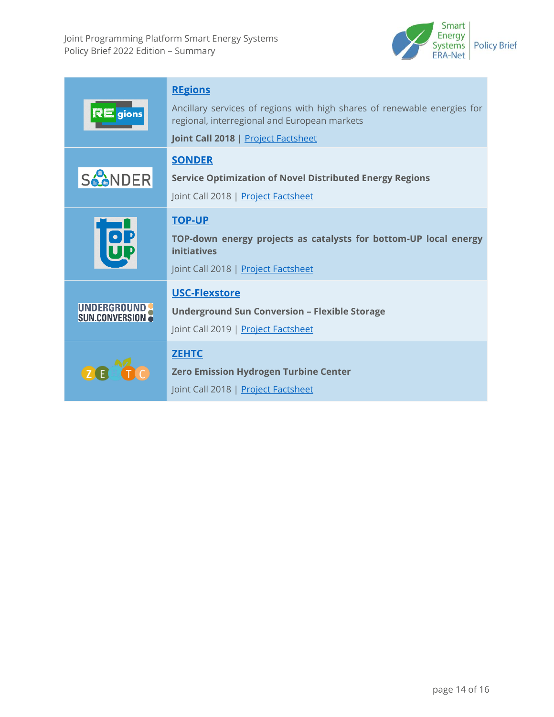

| $RE$ gions                                        | <b>REgions</b><br>Ancillary services of regions with high shares of renewable energies for<br>regional, interregional and European markets<br>Joint Call 2018   Project Factsheet |
|---------------------------------------------------|-----------------------------------------------------------------------------------------------------------------------------------------------------------------------------------|
| <b>SAANDER</b>                                    | <b>SONDER</b><br><b>Service Optimization of Novel Distributed Energy Regions</b><br>Joint Call 2018   Project Factsheet                                                           |
|                                                   | <b>TOP-UP</b><br>TOP-down energy projects as catalysts for bottom-UP local energy<br><b>initiatives</b><br>Joint Call 2018   Project Factsheet                                    |
| <b>UNDERGROUND</b><br><b>SUN.CONVERSION &amp;</b> | USC-Flexstore<br><b>Underground Sun Conversion - Flexible Storage</b><br>Joint Call 2019   Project Factsheet                                                                      |
| <b>ZEH</b>                                        | <b>ZEHTC</b><br><b>Zero Emission Hydrogen Turbine Center</b><br>Joint Call 2018   Project Factsheet                                                                               |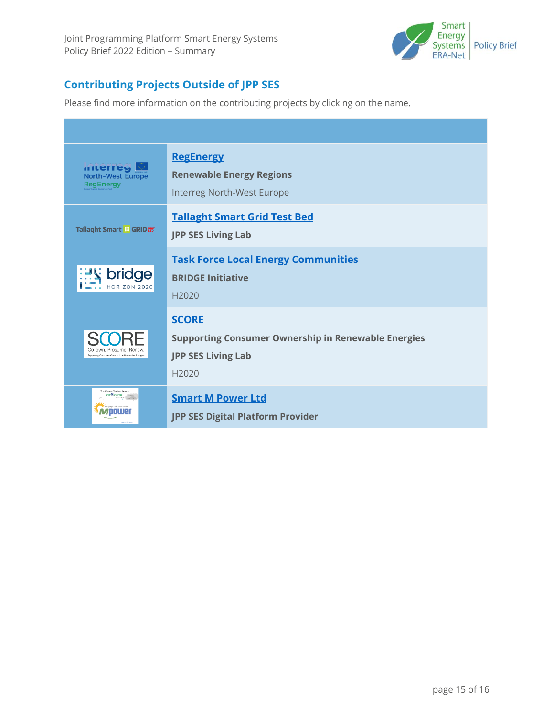

# **Contributing Projects Outside of JPP SES**

Please find more information on the contributing projects by clicking on the name.

| miterreg<br><b>North-West Europe</b><br><b>RegEnergy</b>                     | <b>RegEnergy</b><br><b>Renewable Energy Regions</b><br>Interreg North-West Europe                                            |
|------------------------------------------------------------------------------|------------------------------------------------------------------------------------------------------------------------------|
| Tallaght Smart # GRID您                                                       | <b>Tallaght Smart Grid Test Bed</b><br><b>JPP SES Living Lab</b>                                                             |
| de<br>HORIZON 2020                                                           | <b>Task Force Local Energy Communities</b><br><b>BRIDGE Initiative</b><br>H <sub>2020</sub>                                  |
| Co-own, Prosume, Renew<br>Supporting Consumer Ownership in Renewable Energie | <b>SCORE</b><br><b>Supporting Consumer Ownership in Renewable Energies</b><br><b>JPP SES Living Lab</b><br>H <sub>2020</sub> |
| The Energy Trading System                                                    | <b>Smart M Power Ltd</b><br><b>JPP SES Digital Platform Provider</b>                                                         |